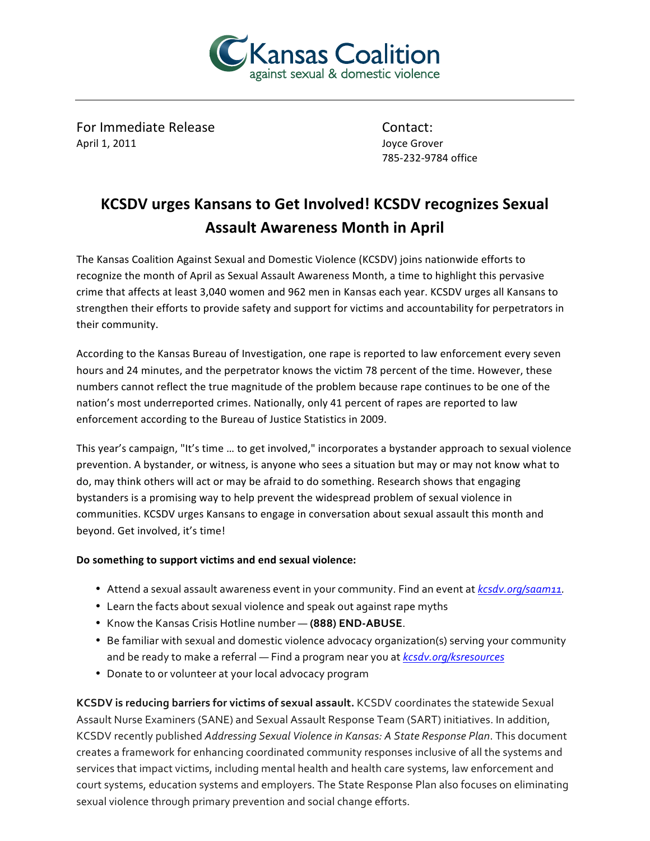

For Immediate Release Contact: April 1, 2011 **Joyce Grover** 

785-232-9784 office

## **KCSDV** urges Kansans to Get Involved! KCSDV recognizes Sexual **Assault Awareness Month in April**

The Kansas Coalition Against Sexual and Domestic Violence (KCSDV) joins nationwide efforts to recognize the month of April as Sexual Assault Awareness Month, a time to highlight this pervasive crime that affects at least 3,040 women and 962 men in Kansas each year. KCSDV urges all Kansans to strengthen their efforts to provide safety and support for victims and accountability for perpetrators in their community.

According to the Kansas Bureau of Investigation, one rape is reported to law enforcement every seven hours and 24 minutes, and the perpetrator knows the victim 78 percent of the time. However, these numbers cannot reflect the true magnitude of the problem because rape continues to be one of the nation's most underreported crimes. Nationally, only 41 percent of rapes are reported to law enforcement according to the Bureau of Justice Statistics in 2009.

This year's campaign, "It's time ... to get involved," incorporates a bystander approach to sexual violence prevention. A bystander, or witness, is anyone who sees a situation but may or may not know what to do, may think others will act or may be afraid to do something. Research shows that engaging bystanders is a promising way to help prevent the widespread problem of sexual violence in communities. KCSDV urges Kansans to engage in conversation about sexual assault this month and beyond. Get involved, it's time!

## Do something to support victims and end sexual violence:

- Attend a sexual assault awareness event in your community. Find an event at *kcsdv.org/saam11*.
- Learn the facts about sexual violence and speak out against rape myths
- Know the Kansas Crisis Hotline number (888) END-ABUSE.
- Be familiar with sexual and domestic violence advocacy organization(s) serving your community and be ready to make a referral - Find a program near you at *kcsdv.org/ksresources*
- Donate to or volunteer at your local advocacy program

**KCSDV** is reducing barriers for victims of sexual assault. KCSDV coordinates the statewide Sexual Assault Nurse Examiners (SANE) and Sexual Assault Response Team (SART) initiatives. In addition, KCSDV recently published *Addressing Sexual Violence in Kansas: A State Response Plan*. This document creates a framework for enhancing coordinated community responses inclusive of all the systems and services that impact victims, including mental health and health care systems, law enforcement and court systems, education systems and employers. The State Response Plan also focuses on eliminating sexual violence through primary prevention and social change efforts.